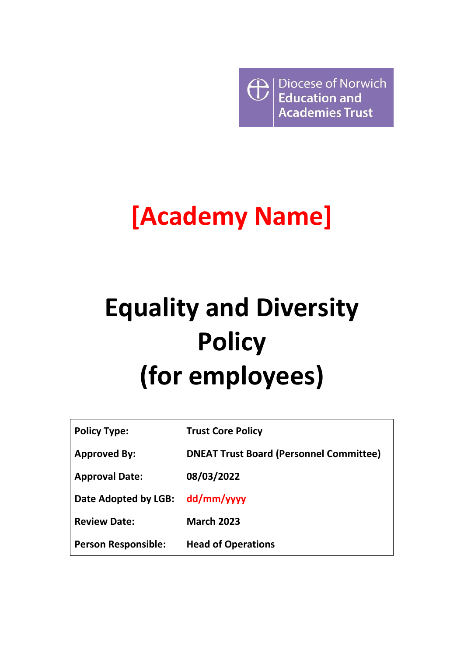**Exercise Set Albert**<br> **Education and**<br> **Academies Trust** Diocese of Norwich **Academies Trust** 

# **[Academy Name]**

# **Equality and Diversity Policy (for employees)**

| <b>Policy Type:</b>        | <b>Trust Core Policy</b>                       |
|----------------------------|------------------------------------------------|
| <b>Approved By:</b>        | <b>DNEAT Trust Board (Personnel Committee)</b> |
| <b>Approval Date:</b>      | 08/03/2022                                     |
| Date Adopted by LGB:       | dd/mm/yyyy                                     |
| <b>Review Date:</b>        | <b>March 2023</b>                              |
| <b>Person Responsible:</b> | <b>Head of Operations</b>                      |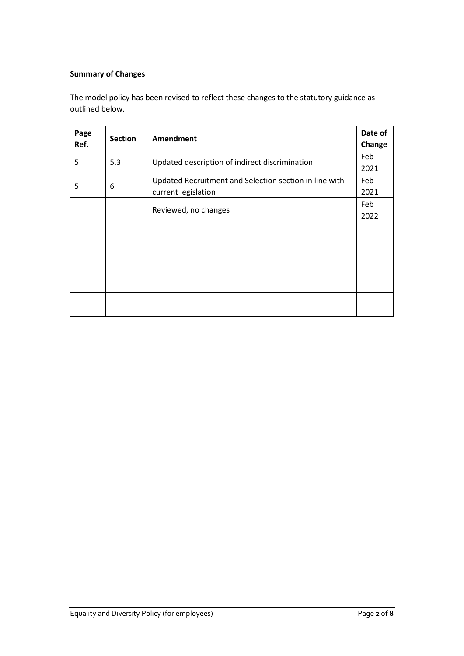### **Summary of Changes**

The model policy has been revised to reflect these changes to the statutory guidance as outlined below.

| Page<br>Ref. | <b>Section</b>                                 | <b>Amendment</b>                                       | Date of<br>Change |
|--------------|------------------------------------------------|--------------------------------------------------------|-------------------|
| 5.3<br>5     |                                                |                                                        | Feb               |
|              | Updated description of indirect discrimination | 2021                                                   |                   |
| 5<br>6       |                                                | Updated Recruitment and Selection section in line with | Feb               |
|              |                                                | current legislation                                    | 2021              |
|              |                                                | Reviewed, no changes                                   | Feb               |
|              |                                                |                                                        | 2022              |
|              |                                                |                                                        |                   |
|              |                                                |                                                        |                   |
|              |                                                |                                                        |                   |
|              |                                                |                                                        |                   |
|              |                                                |                                                        |                   |
|              |                                                |                                                        |                   |
|              |                                                |                                                        |                   |
|              |                                                |                                                        |                   |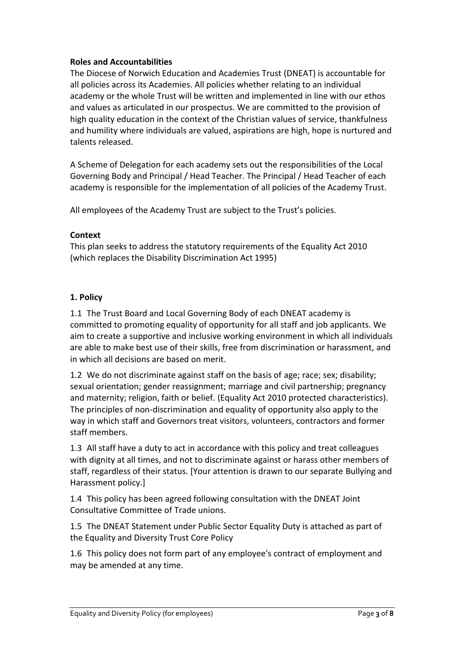#### **Roles and Accountabilities**

The Diocese of Norwich Education and Academies Trust (DNEAT) is accountable for all policies across its Academies. All policies whether relating to an individual academy or the whole Trust will be written and implemented in line with our ethos and values as articulated in our prospectus. We are committed to the provision of high quality education in the context of the Christian values of service, thankfulness and humility where individuals are valued, aspirations are high, hope is nurtured and talents released.

A Scheme of Delegation for each academy sets out the responsibilities of the Local Governing Body and Principal / Head Teacher. The Principal / Head Teacher of each academy is responsible for the implementation of all policies of the Academy Trust.

All employees of the Academy Trust are subject to the Trust's policies.

#### **Context**

This plan seeks to address the statutory requirements of the Equality Act 2010 (which replaces the Disability Discrimination Act 1995)

#### **1. Policy**

1.1 The Trust Board and Local Governing Body of each DNEAT academy is committed to promoting equality of opportunity for all staff and job applicants. We aim to create a supportive and inclusive working environment in which all individuals are able to make best use of their skills, free from discrimination or harassment, and in which all decisions are based on merit.

1.2 We do not discriminate against staff on the basis of age; race; sex; disability; sexual orientation; gender reassignment; marriage and civil partnership; pregnancy and maternity; religion, faith or belief. (Equality Act 2010 protected characteristics). The principles of non-discrimination and equality of opportunity also apply to the way in which staff and Governors treat visitors, volunteers, contractors and former staff members.

1.3 All staff have a duty to act in accordance with this policy and treat colleagues with dignity at all times, and not to discriminate against or harass other members of staff, regardless of their status. [Your attention is drawn to our separate Bullying and Harassment policy.]

1.4 This policy has been agreed following consultation with the DNEAT Joint Consultative Committee of Trade unions.

1.5 The DNEAT Statement under Public Sector Equality Duty is attached as part of the Equality and Diversity Trust Core Policy

1.6 This policy does not form part of any employee's contract of employment and may be amended at any time.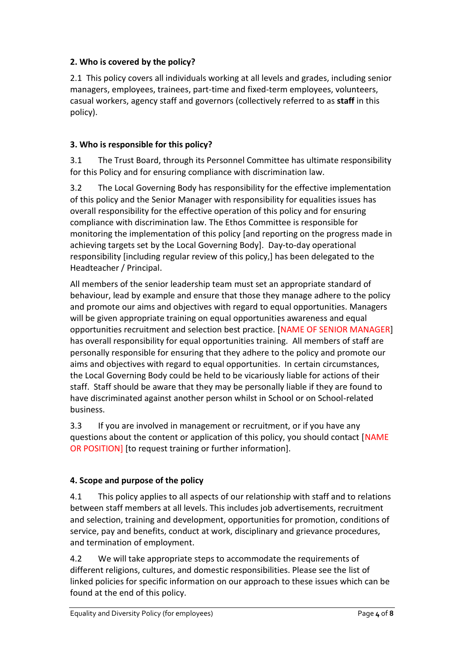# **2. Who is covered by the policy?**

2.1 This policy covers all individuals working at all levels and grades, including senior managers, employees, trainees, part-time and fixed-term employees, volunteers, casual workers, agency staff and governors (collectively referred to as **staff** in this policy).

### **3. Who is responsible for this policy?**

3.1 The Trust Board, through its Personnel Committee has ultimate responsibility for this Policy and for ensuring compliance with discrimination law.

3.2 The Local Governing Body has responsibility for the effective implementation of this policy and the Senior Manager with responsibility for equalities issues has overall responsibility for the effective operation of this policy and for ensuring compliance with discrimination law. The Ethos Committee is responsible for monitoring the implementation of this policy [and reporting on the progress made in achieving targets set by the Local Governing Body]. Day-to-day operational responsibility [including regular review of this policy,] has been delegated to the Headteacher / Principal.

All members of the senior leadership team must set an appropriate standard of behaviour, lead by example and ensure that those they manage adhere to the policy and promote our aims and objectives with regard to equal opportunities. Managers will be given appropriate training on equal opportunities awareness and equal opportunities recruitment and selection best practice. [NAME OF SENIOR MANAGER] has overall responsibility for equal opportunities training. All members of staff are personally responsible for ensuring that they adhere to the policy and promote our aims and objectives with regard to equal opportunities. In certain circumstances, the Local Governing Body could be held to be vicariously liable for actions of their staff. Staff should be aware that they may be personally liable if they are found to have discriminated against another person whilst in School or on School-related business.

3.3 If you are involved in management or recruitment, or if you have any questions about the content or application of this policy, you should contact [NAME OR POSITION] [to request training or further information].

# **4. Scope and purpose of the policy**

4.1 This policy applies to all aspects of our relationship with staff and to relations between staff members at all levels. This includes job advertisements, recruitment and selection, training and development, opportunities for promotion, conditions of service, pay and benefits, conduct at work, disciplinary and grievance procedures, and termination of employment.

4.2 We will take appropriate steps to accommodate the requirements of different religions, cultures, and domestic responsibilities. Please see the list of linked policies for specific information on our approach to these issues which can be found at the end of this policy.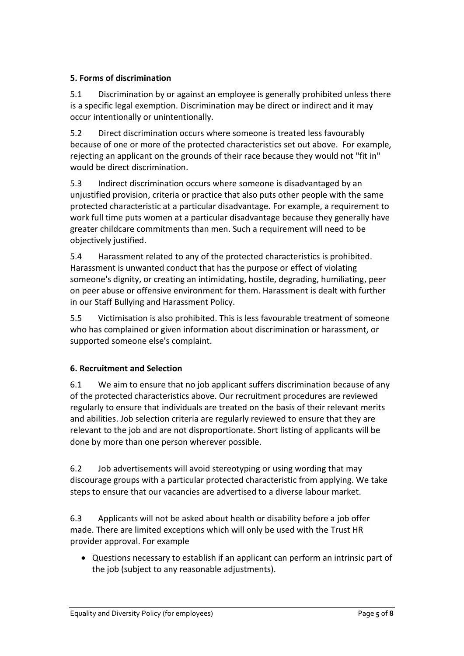# **5. Forms of discrimination**

5.1 Discrimination by or against an employee is generally prohibited unless there is a specific legal exemption. Discrimination may be direct or indirect and it may occur intentionally or unintentionally.

5.2 Direct discrimination occurs where someone is treated less favourably because of one or more of the protected characteristics set out above. For example, rejecting an applicant on the grounds of their race because they would not "fit in" would be direct discrimination.

5.3 Indirect discrimination occurs where someone is disadvantaged by an unjustified provision, criteria or practice that also puts other people with the same protected characteristic at a particular disadvantage. For example, a requirement to work full time puts women at a particular disadvantage because they generally have greater childcare commitments than men. Such a requirement will need to be objectively justified.

5.4 Harassment related to any of the protected characteristics is prohibited. Harassment is unwanted conduct that has the purpose or effect of violating someone's dignity, or creating an intimidating, hostile, degrading, humiliating, peer on peer abuse or offensive environment for them. Harassment is dealt with further in our Staff Bullying and Harassment Policy.

5.5 Victimisation is also prohibited. This is less favourable treatment of someone who has complained or given information about discrimination or harassment, or supported someone else's complaint.

#### **6. Recruitment and Selection**

6.1 We aim to ensure that no job applicant suffers discrimination because of any of the protected characteristics above. Our recruitment procedures are reviewed regularly to ensure that individuals are treated on the basis of their relevant merits and abilities. Job selection criteria are regularly reviewed to ensure that they are relevant to the job and are not disproportionate. Short listing of applicants will be done by more than one person wherever possible.

6.2 Job advertisements will avoid stereotyping or using wording that may discourage groups with a particular protected characteristic from applying. We take steps to ensure that our vacancies are advertised to a diverse labour market.

6.3 Applicants will not be asked about health or disability before a job offer made. There are limited exceptions which will only be used with the Trust HR provider approval. For example

• Questions necessary to establish if an applicant can perform an intrinsic part of the job (subject to any reasonable adjustments).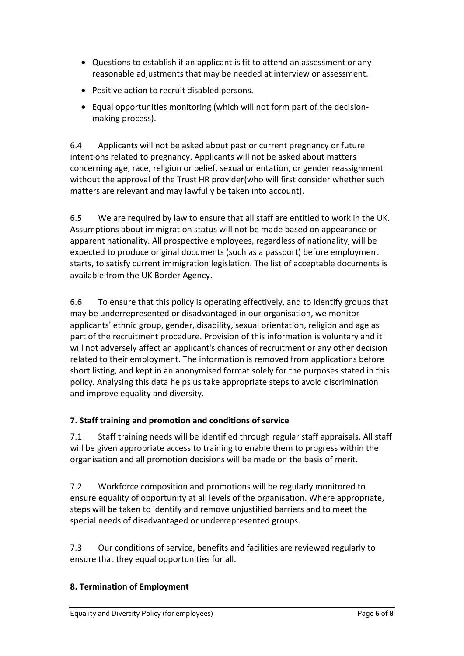- Questions to establish if an applicant is fit to attend an assessment or any reasonable adjustments that may be needed at interview or assessment.
- Positive action to recruit disabled persons.
- Equal opportunities monitoring (which will not form part of the decisionmaking process).

6.4 Applicants will not be asked about past or current pregnancy or future intentions related to pregnancy. Applicants will not be asked about matters concerning age, race, religion or belief, sexual orientation, or gender reassignment without the approval of the Trust HR provider(who will first consider whether such matters are relevant and may lawfully be taken into account).

6.5 We are required by law to ensure that all staff are entitled to work in the UK. Assumptions about immigration status will not be made based on appearance or apparent nationality. All prospective employees, regardless of nationality, will be expected to produce original documents (such as a passport) before employment starts, to satisfy current immigration legislation. The list of acceptable documents is available from the UK Border Agency.

6.6 To ensure that this policy is operating effectively, and to identify groups that may be underrepresented or disadvantaged in our organisation, we monitor applicants' ethnic group, gender, disability, sexual orientation, religion and age as part of the recruitment procedure. Provision of this information is voluntary and it will not adversely affect an applicant's chances of recruitment or any other decision related to their employment. The information is removed from applications before short listing, and kept in an anonymised format solely for the purposes stated in this policy. Analysing this data helps us take appropriate steps to avoid discrimination and improve equality and diversity.

#### **7. Staff training and promotion and conditions of service**

7.1 Staff training needs will be identified through regular staff appraisals. All staff will be given appropriate access to training to enable them to progress within the organisation and all promotion decisions will be made on the basis of merit.

7.2 Workforce composition and promotions will be regularly monitored to ensure equality of opportunity at all levels of the organisation. Where appropriate, steps will be taken to identify and remove unjustified barriers and to meet the special needs of disadvantaged or underrepresented groups.

7.3 Our conditions of service, benefits and facilities are reviewed regularly to ensure that they equal opportunities for all.

#### **8. Termination of Employment**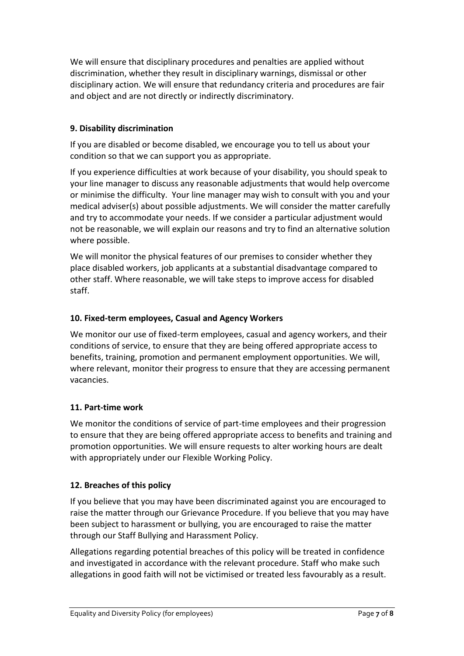We will ensure that disciplinary procedures and penalties are applied without discrimination, whether they result in disciplinary warnings, dismissal or other disciplinary action. We will ensure that redundancy criteria and procedures are fair and object and are not directly or indirectly discriminatory.

#### **9. Disability discrimination**

If you are disabled or become disabled, we encourage you to tell us about your condition so that we can support you as appropriate.

If you experience difficulties at work because of your disability, you should speak to your line manager to discuss any reasonable adjustments that would help overcome or minimise the difficulty. Your line manager may wish to consult with you and your medical adviser(s) about possible adjustments. We will consider the matter carefully and try to accommodate your needs. If we consider a particular adjustment would not be reasonable, we will explain our reasons and try to find an alternative solution where possible.

We will monitor the physical features of our premises to consider whether they place disabled workers, job applicants at a substantial disadvantage compared to other staff. Where reasonable, we will take steps to improve access for disabled staff.

#### **10. Fixed-term employees, Casual and Agency Workers**

We monitor our use of fixed-term employees, casual and agency workers, and their conditions of service, to ensure that they are being offered appropriate access to benefits, training, promotion and permanent employment opportunities. We will, where relevant, monitor their progress to ensure that they are accessing permanent vacancies.

#### **11. Part-time work**

We monitor the conditions of service of part-time employees and their progression to ensure that they are being offered appropriate access to benefits and training and promotion opportunities. We will ensure requests to alter working hours are dealt with appropriately under our Flexible Working Policy.

#### **12. Breaches of this policy**

If you believe that you may have been discriminated against you are encouraged to raise the matter through our Grievance Procedure. If you believe that you may have been subject to harassment or bullying, you are encouraged to raise the matter through our Staff Bullying and Harassment Policy.

Allegations regarding potential breaches of this policy will be treated in confidence and investigated in accordance with the relevant procedure. Staff who make such allegations in good faith will not be victimised or treated less favourably as a result.